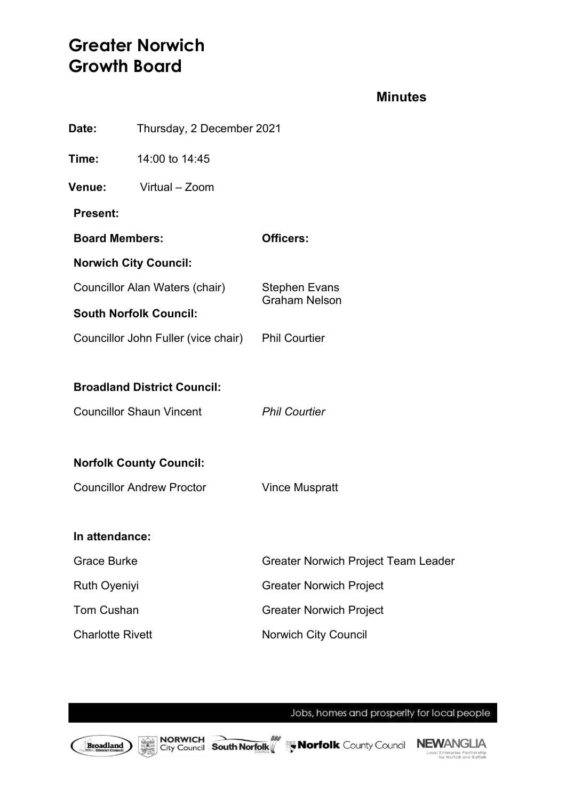# **Greater Norwich Growth Board**

### **Minutes**

| Thursday, 2 December 2021<br>Date:                |                                  |                                              |
|---------------------------------------------------|----------------------------------|----------------------------------------------|
| Time:                                             | 14:00 to 14:45                   |                                              |
| Venue:                                            | Virtual - Zoom                   |                                              |
| <b>Present:</b>                                   |                                  |                                              |
| <b>Board Members:</b>                             |                                  | <b>Officers:</b>                             |
|                                                   | <b>Norwich City Council:</b>     |                                              |
| Councillor Alan Waters (chair)                    |                                  | <b>Stephen Evans</b><br><b>Graham Nelson</b> |
| <b>South Norfolk Council:</b>                     |                                  |                                              |
| Councillor John Fuller (vice chair) Phil Courtier |                                  |                                              |
|                                                   |                                  |                                              |
| <b>Broadland District Council:</b>                |                                  |                                              |
| <b>Councillor Shaun Vincent</b>                   |                                  | <b>Phil Courtier</b>                         |
|                                                   |                                  |                                              |
| <b>Norfolk County Council:</b>                    |                                  |                                              |
|                                                   | <b>Councillor Andrew Proctor</b> | <b>Vince Muspratt</b>                        |
|                                                   |                                  |                                              |
| In attendance:                                    |                                  |                                              |
| <b>Grace Burke</b>                                |                                  | <b>Greater Norwich Project Team Leader</b>   |
| <b>Ruth Oyeniyi</b>                               |                                  | <b>Greater Norwich Project</b>               |
| <b>Tom Cushan</b>                                 |                                  | <b>Greater Norwich Project</b>               |
| <b>Charlotte Rivett</b>                           |                                  | Norwich City Council                         |
|                                                   |                                  |                                              |

Jobs, homes and prosperity for local people

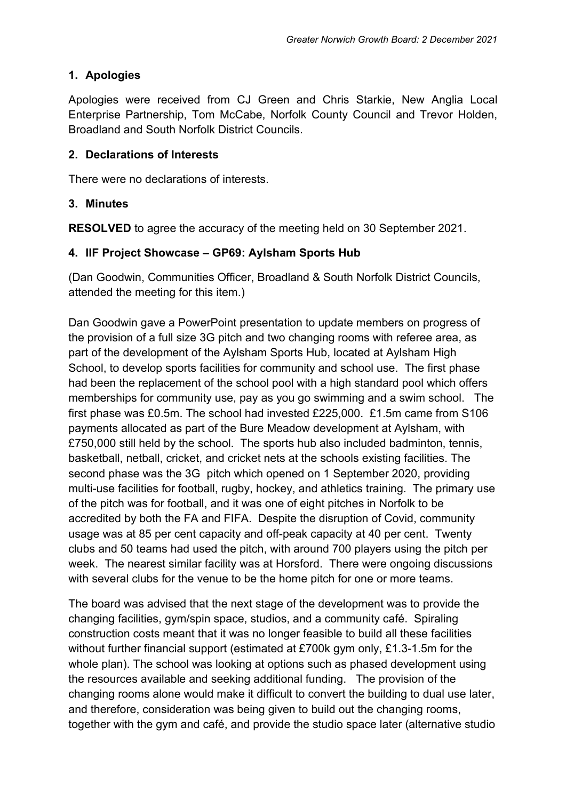## **1. Apologies**

Apologies were received from CJ Green and Chris Starkie, New Anglia Local Enterprise Partnership, Tom McCabe, Norfolk County Council and Trevor Holden, Broadland and South Norfolk District Councils.

#### **2. Declarations of Interests**

There were no declarations of interests.

#### **3. Minutes**

**RESOLVED** to agree the accuracy of the meeting held on 30 September 2021.

### **4. IIF Project Showcase – GP69: Aylsham Sports Hub**

(Dan Goodwin, Communities Officer, Broadland & South Norfolk District Councils, attended the meeting for this item.)

Dan Goodwin gave a PowerPoint presentation to update members on progress of the provision of a full size 3G pitch and two changing rooms with referee area, as part of the development of the Aylsham Sports Hub, located at Aylsham High School, to develop sports facilities for community and school use. The first phase had been the replacement of the school pool with a high standard pool which offers memberships for community use, pay as you go swimming and a swim school. The first phase was £0.5m. The school had invested £225,000. £1.5m came from S106 payments allocated as part of the Bure Meadow development at Aylsham, with £750,000 still held by the school. The sports hub also included badminton, tennis, basketball, netball, cricket, and cricket nets at the schools existing facilities. The second phase was the 3G pitch which opened on 1 September 2020, providing multi-use facilities for football, rugby, hockey, and athletics training. The primary use of the pitch was for football, and it was one of eight pitches in Norfolk to be accredited by both the FA and FIFA. Despite the disruption of Covid, community usage was at 85 per cent capacity and off-peak capacity at 40 per cent. Twenty clubs and 50 teams had used the pitch, with around 700 players using the pitch per week. The nearest similar facility was at Horsford. There were ongoing discussions with several clubs for the venue to be the home pitch for one or more teams.

The board was advised that the next stage of the development was to provide the changing facilities, gym/spin space, studios, and a community café. Spiraling construction costs meant that it was no longer feasible to build all these facilities without further financial support (estimated at £700k gym only, £1.3-1.5m for the whole plan). The school was looking at options such as phased development using the resources available and seeking additional funding. The provision of the changing rooms alone would make it difficult to convert the building to dual use later, and therefore, consideration was being given to build out the changing rooms, together with the gym and café, and provide the studio space later (alternative studio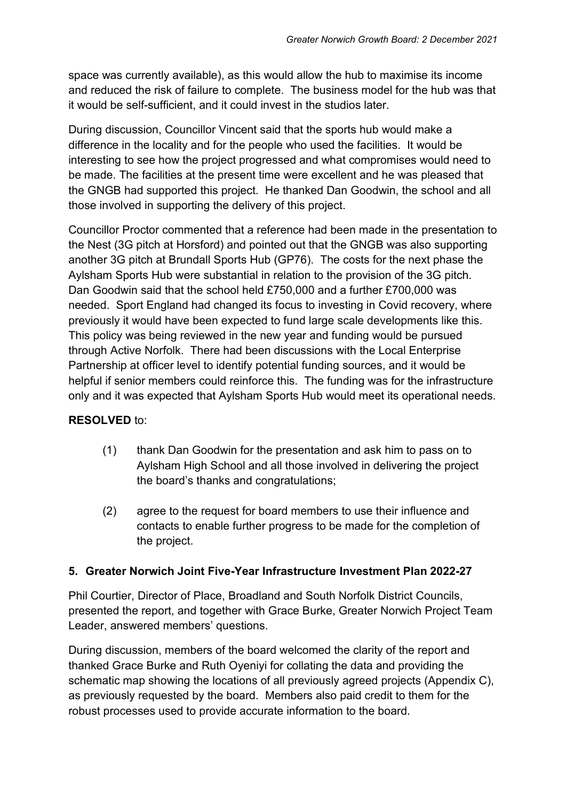space was currently available), as this would allow the hub to maximise its income and reduced the risk of failure to complete. The business model for the hub was that it would be self-sufficient, and it could invest in the studios later.

During discussion, Councillor Vincent said that the sports hub would make a difference in the locality and for the people who used the facilities. It would be interesting to see how the project progressed and what compromises would need to be made. The facilities at the present time were excellent and he was pleased that the GNGB had supported this project. He thanked Dan Goodwin, the school and all those involved in supporting the delivery of this project.

Councillor Proctor commented that a reference had been made in the presentation to the Nest (3G pitch at Horsford) and pointed out that the GNGB was also supporting another 3G pitch at Brundall Sports Hub (GP76). The costs for the next phase the Aylsham Sports Hub were substantial in relation to the provision of the 3G pitch. Dan Goodwin said that the school held £750,000 and a further £700,000 was needed. Sport England had changed its focus to investing in Covid recovery, where previously it would have been expected to fund large scale developments like this. This policy was being reviewed in the new year and funding would be pursued through Active Norfolk. There had been discussions with the Local Enterprise Partnership at officer level to identify potential funding sources, and it would be helpful if senior members could reinforce this. The funding was for the infrastructure only and it was expected that Aylsham Sports Hub would meet its operational needs.

### **RESOLVED** to:

- (1) thank Dan Goodwin for the presentation and ask him to pass on to Aylsham High School and all those involved in delivering the project the board's thanks and congratulations;
- (2) agree to the request for board members to use their influence and contacts to enable further progress to be made for the completion of the project.

### **5. Greater Norwich Joint Five-Year Infrastructure Investment Plan 2022-27**

Phil Courtier, Director of Place, Broadland and South Norfolk District Councils, presented the report, and together with Grace Burke, Greater Norwich Project Team Leader, answered members' questions.

During discussion, members of the board welcomed the clarity of the report and thanked Grace Burke and Ruth Oyeniyi for collating the data and providing the schematic map showing the locations of all previously agreed projects (Appendix C), as previously requested by the board. Members also paid credit to them for the robust processes used to provide accurate information to the board.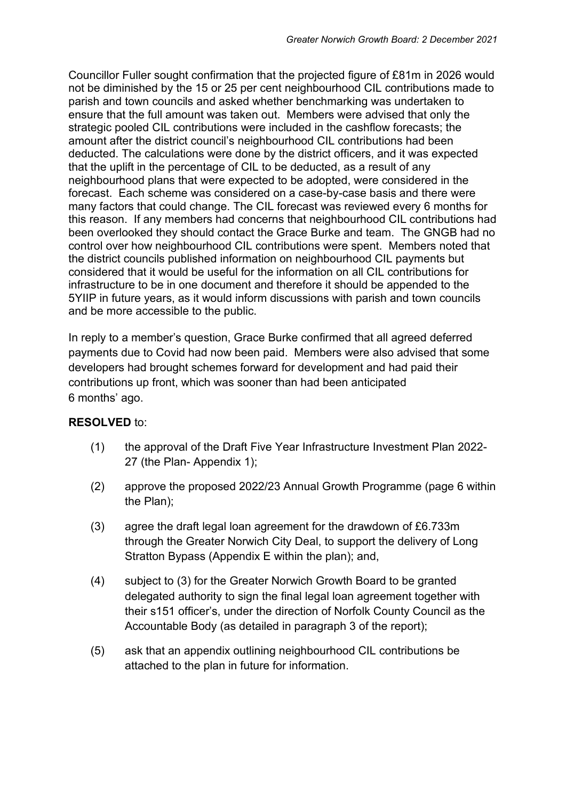Councillor Fuller sought confirmation that the projected figure of £81m in 2026 would not be diminished by the 15 or 25 per cent neighbourhood CIL contributions made to parish and town councils and asked whether benchmarking was undertaken to ensure that the full amount was taken out. Members were advised that only the strategic pooled CIL contributions were included in the cashflow forecasts; the amount after the district council's neighbourhood CIL contributions had been deducted. The calculations were done by the district officers, and it was expected that the uplift in the percentage of CIL to be deducted, as a result of any neighbourhood plans that were expected to be adopted, were considered in the forecast. Each scheme was considered on a case-by-case basis and there were many factors that could change. The CIL forecast was reviewed every 6 months for this reason. If any members had concerns that neighbourhood CIL contributions had been overlooked they should contact the Grace Burke and team. The GNGB had no control over how neighbourhood CIL contributions were spent. Members noted that the district councils published information on neighbourhood CIL payments but considered that it would be useful for the information on all CIL contributions for infrastructure to be in one document and therefore it should be appended to the 5YIIP in future years, as it would inform discussions with parish and town councils and be more accessible to the public.

In reply to a member's question, Grace Burke confirmed that all agreed deferred payments due to Covid had now been paid. Members were also advised that some developers had brought schemes forward for development and had paid their contributions up front, which was sooner than had been anticipated 6 months' ago.

#### **RESOLVED** to:

- (1) the approval of the Draft Five Year Infrastructure Investment Plan 2022- 27 (the Plan- Appendix 1);
- (2) approve the proposed 2022/23 Annual Growth Programme (page 6 within the Plan);
- (3) agree the draft legal loan agreement for the drawdown of £6.733m through the Greater Norwich City Deal, to support the delivery of Long Stratton Bypass (Appendix E within the plan); and,
- (4) subject to (3) for the Greater Norwich Growth Board to be granted delegated authority to sign the final legal loan agreement together with their s151 officer's, under the direction of Norfolk County Council as the Accountable Body (as detailed in paragraph 3 of the report);
- (5) ask that an appendix outlining neighbourhood CIL contributions be attached to the plan in future for information.